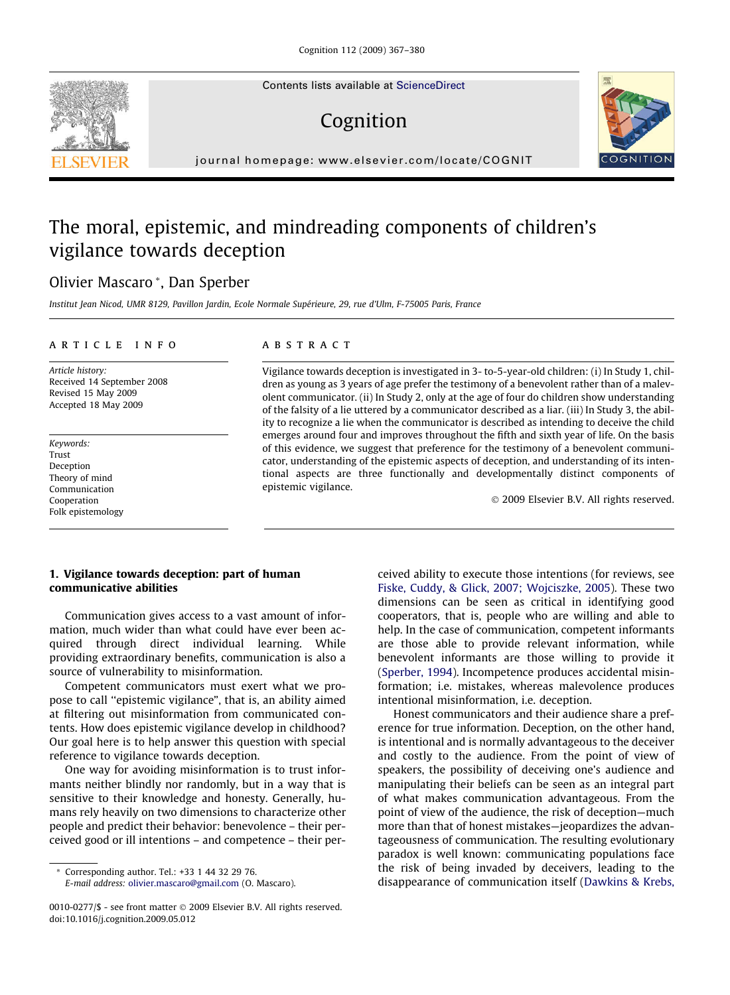Contents lists available at [ScienceDirect](http://www.sciencedirect.com/science/journal/00100277)

# Cognition



journal homepage: [www.elsevier.com/locate/COGNIT](http://www.elsevier.com/locate/COGNIT)

# The moral, epistemic, and mindreading components of children's vigilance towards deception

# Olivier Mascaro \*, Dan Sperber

Institut Jean Nicod, UMR 8129, Pavillon Jardin, Ecole Normale Supérieure, 29, rue d'Ulm, F-75005 Paris, France

#### article info

Article history: Received 14 September 2008 Revised 15 May 2009 Accepted 18 May 2009

Keywords: Trust Deception Theory of mind Communication Cooperation Folk epistemology

# **ABSTRACT**

Vigilance towards deception is investigated in 3- to-5-year-old children: (i) In Study 1, children as young as 3 years of age prefer the testimony of a benevolent rather than of a malevolent communicator. (ii) In Study 2, only at the age of four do children show understanding of the falsity of a lie uttered by a communicator described as a liar. (iii) In Study 3, the ability to recognize a lie when the communicator is described as intending to deceive the child emerges around four and improves throughout the fifth and sixth year of life. On the basis of this evidence, we suggest that preference for the testimony of a benevolent communicator, understanding of the epistemic aspects of deception, and understanding of its intentional aspects are three functionally and developmentally distinct components of epistemic vigilance.

- 2009 Elsevier B.V. All rights reserved.

# 1. Vigilance towards deception: part of human communicative abilities

Communication gives access to a vast amount of information, much wider than what could have ever been acquired through direct individual learning. While providing extraordinary benefits, communication is also a source of vulnerability to misinformation.

Competent communicators must exert what we propose to call ''epistemic vigilance", that is, an ability aimed at filtering out misinformation from communicated contents. How does epistemic vigilance develop in childhood? Our goal here is to help answer this question with special reference to vigilance towards deception.

One way for avoiding misinformation is to trust informants neither blindly nor randomly, but in a way that is sensitive to their knowledge and honesty. Generally, humans rely heavily on two dimensions to characterize other people and predict their behavior: benevolence – their perceived good or ill intentions – and competence – their per-

\* Corresponding author. Tel.: +33 1 44 32 29 76. E-mail address: [olivier.mascaro@gmail.com](mailto:olivier.mascaro@gmail.com) (O. Mascaro).

ceived ability to execute those intentions (for reviews, see [Fiske, Cuddy, & Glick, 2007; Wojciszke, 2005](#page-12-0)). These two dimensions can be seen as critical in identifying good cooperators, that is, people who are willing and able to help. In the case of communication, competent informants are those able to provide relevant information, while benevolent informants are those willing to provide it [\(Sperber, 1994\)](#page-13-0). Incompetence produces accidental misinformation; i.e. mistakes, whereas malevolence produces intentional misinformation, i.e. deception.

Honest communicators and their audience share a preference for true information. Deception, on the other hand, is intentional and is normally advantageous to the deceiver and costly to the audience. From the point of view of speakers, the possibility of deceiving one's audience and manipulating their beliefs can be seen as an integral part of what makes communication advantageous. From the point of view of the audience, the risk of deception—much more than that of honest mistakes—jeopardizes the advantageousness of communication. The resulting evolutionary paradox is well known: communicating populations face the risk of being invaded by deceivers, leading to the disappearance of communication itself ([Dawkins & Krebs,](#page-12-0)



<sup>0010-0277/\$ -</sup> see front matter © 2009 Elsevier B.V. All rights reserved. doi:10.1016/j.cognition.2009.05.012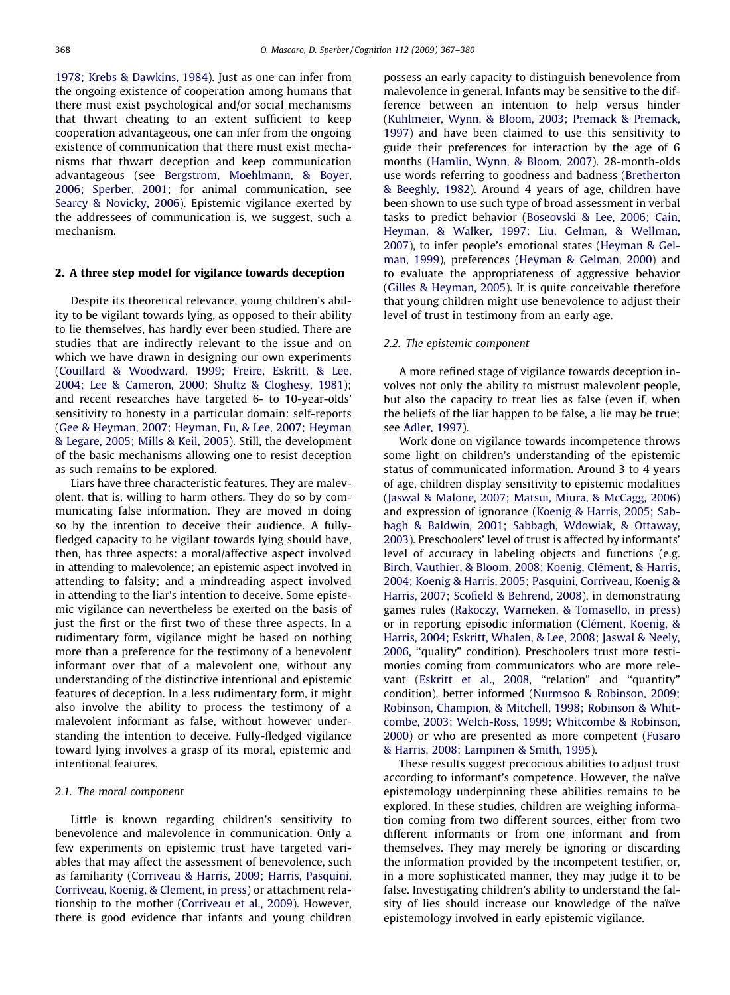[1978; Krebs & Dawkins, 1984](#page-12-0)). Just as one can infer from the ongoing existence of cooperation among humans that there must exist psychological and/or social mechanisms that thwart cheating to an extent sufficient to keep cooperation advantageous, one can infer from the ongoing existence of communication that there must exist mechanisms that thwart deception and keep communication advantageous (see [Bergstrom, Moehlmann, & Boyer,](#page-12-0) [2006; Sperber, 2001](#page-12-0); for animal communication, see [Searcy & Novicky, 2006\)](#page-13-0). Epistemic vigilance exerted by the addressees of communication is, we suggest, such a mechanism.

#### 2. A three step model for vigilance towards deception

Despite its theoretical relevance, young children's ability to be vigilant towards lying, as opposed to their ability to lie themselves, has hardly ever been studied. There are studies that are indirectly relevant to the issue and on which we have drawn in designing our own experiments [\(Couillard & Woodward, 1999; Freire, Eskritt, & Lee,](#page-12-0) [2004; Lee & Cameron, 2000; Shultz & Cloghesy, 1981](#page-12-0)); and recent researches have targeted 6- to 10-year-olds' sensitivity to honesty in a particular domain: self-reports [\(Gee & Heyman, 2007; Heyman, Fu, & Lee, 2007; Heyman](#page-12-0) [& Legare, 2005; Mills & Keil, 2005\)](#page-12-0). Still, the development of the basic mechanisms allowing one to resist deception as such remains to be explored.

Liars have three characteristic features. They are malevolent, that is, willing to harm others. They do so by communicating false information. They are moved in doing so by the intention to deceive their audience. A fullyfledged capacity to be vigilant towards lying should have, then, has three aspects: a moral/affective aspect involved in attending to malevolence; an epistemic aspect involved in attending to falsity; and a mindreading aspect involved in attending to the liar's intention to deceive. Some epistemic vigilance can nevertheless be exerted on the basis of just the first or the first two of these three aspects. In a rudimentary form, vigilance might be based on nothing more than a preference for the testimony of a benevolent informant over that of a malevolent one, without any understanding of the distinctive intentional and epistemic features of deception. In a less rudimentary form, it might also involve the ability to process the testimony of a malevolent informant as false, without however understanding the intention to deceive. Fully-fledged vigilance toward lying involves a grasp of its moral, epistemic and intentional features.

#### 2.1. The moral component

Little is known regarding children's sensitivity to benevolence and malevolence in communication. Only a few experiments on epistemic trust have targeted variables that may affect the assessment of benevolence, such as familiarity [\(Corriveau & Harris, 2009; Harris, Pasquini,](#page-12-0) [Corriveau, Koenig, & Clement, in press](#page-12-0)) or attachment relationship to the mother ([Corriveau et al., 2009](#page-12-0)). However, there is good evidence that infants and young children

possess an early capacity to distinguish benevolence from malevolence in general. Infants may be sensitive to the difference between an intention to help versus hinder [\(Kuhlmeier, Wynn, & Bloom, 2003; Premack & Premack,](#page-12-0) [1997](#page-12-0)) and have been claimed to use this sensitivity to guide their preferences for interaction by the age of 6 months ([Hamlin, Wynn, & Bloom, 2007\)](#page-12-0). 28-month-olds use words referring to goodness and badness ([Bretherton](#page-12-0) [& Beeghly, 1982\)](#page-12-0). Around 4 years of age, children have been shown to use such type of broad assessment in verbal tasks to predict behavior ([Boseovski & Lee, 2006; Cain,](#page-12-0) [Heyman, & Walker, 1997; Liu, Gelman, & Wellman,](#page-12-0) [2007](#page-12-0)), to infer people's emotional states [\(Heyman & Gel](#page-12-0)[man, 1999\)](#page-12-0), preferences [\(Heyman & Gelman, 2000](#page-12-0)) and to evaluate the appropriateness of aggressive behavior [\(Gilles & Heyman, 2005](#page-12-0)). It is quite conceivable therefore that young children might use benevolence to adjust their level of trust in testimony from an early age.

#### 2.2. The epistemic component

A more refined stage of vigilance towards deception involves not only the ability to mistrust malevolent people, but also the capacity to treat lies as false (even if, when the beliefs of the liar happen to be false, a lie may be true; see [Adler, 1997\)](#page-11-0).

Work done on vigilance towards incompetence throws some light on children's understanding of the epistemic status of communicated information. Around 3 to 4 years of age, children display sensitivity to epistemic modalities [\(Jaswal & Malone, 2007; Matsui, Miura, & McCagg, 2006](#page-12-0)) and expression of ignorance [\(Koenig & Harris, 2005; Sab](#page-12-0)[bagh & Baldwin, 2001; Sabbagh, Wdowiak, & Ottaway,](#page-12-0) [2003](#page-12-0)). Preschoolers' level of trust is affected by informants' level of accuracy in labeling objects and functions (e.g. [Birch, Vauthier, & Bloom, 2008; Koenig, Clément, & Harris,](#page-12-0) [2004; Koenig & Harris, 2005](#page-12-0); [Pasquini, Corriveau, Koenig &](#page-12-0) [Harris, 2007; Scofield & Behrend, 2008](#page-12-0)), in demonstrating games rules [\(Rakoczy, Warneken, & Tomasello, in press](#page-13-0)) or in reporting episodic information [\(Clément, Koenig, &](#page-12-0) [Harris, 2004; Eskritt, Whalen, & Lee, 2008; Jaswal & Neely,](#page-12-0) [2006](#page-12-0), ''quality" condition). Preschoolers trust more testimonies coming from communicators who are more rele-vant ([Eskritt et al., 2008,](#page-12-0) "relation" and "quantity" condition), better informed ([Nurmsoo & Robinson, 2009;](#page-12-0) [Robinson, Champion, & Mitchell, 1998; Robinson & Whit](#page-12-0)[combe, 2003; Welch-Ross, 1999; Whitcombe & Robinson,](#page-12-0) [2000\)](#page-12-0) or who are presented as more competent [\(Fusaro](#page-12-0) [& Harris, 2008](#page-12-0); [Lampinen & Smith, 1995\)](#page-12-0).

These results suggest precocious abilities to adjust trust according to informant's competence. However, the naïve epistemology underpinning these abilities remains to be explored. In these studies, children are weighing information coming from two different sources, either from two different informants or from one informant and from themselves. They may merely be ignoring or discarding the information provided by the incompetent testifier, or, in a more sophisticated manner, they may judge it to be false. Investigating children's ability to understand the falsity of lies should increase our knowledge of the naïve epistemology involved in early epistemic vigilance.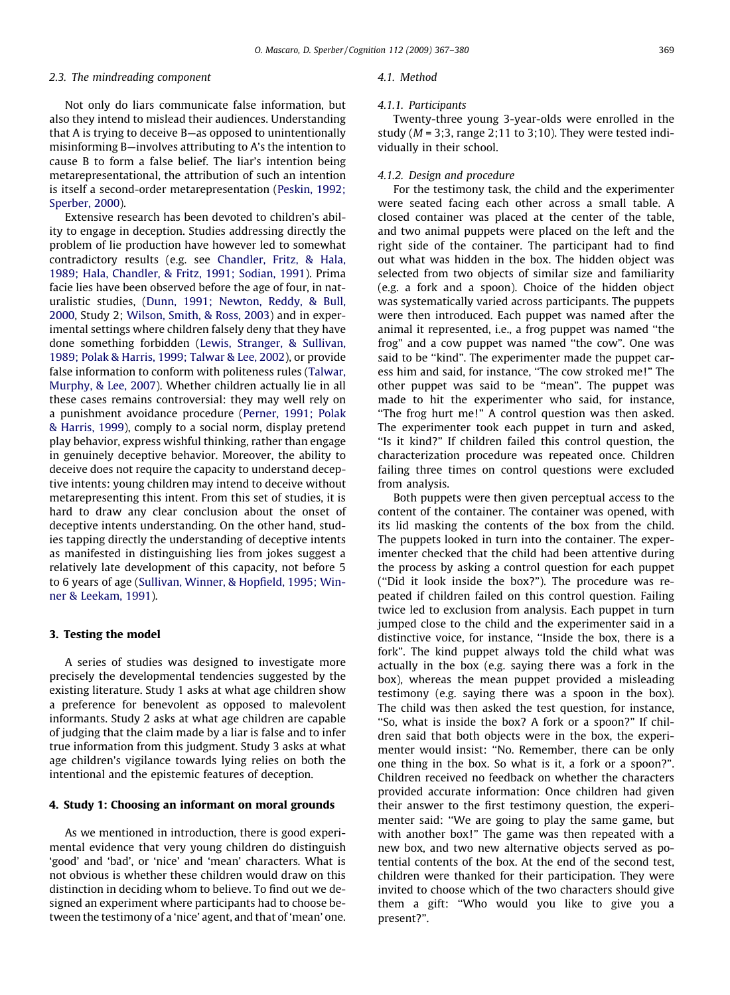# 2.3. The mindreading component

Not only do liars communicate false information, but also they intend to mislead their audiences. Understanding that A is trying to deceive B—as opposed to unintentionally misinforming B—involves attributing to A's the intention to cause B to form a false belief. The liar's intention being metarepresentational, the attribution of such an intention is itself a second-order metarepresentation ([Peskin, 1992;](#page-12-0) [Sperber, 2000](#page-12-0)).

Extensive research has been devoted to children's ability to engage in deception. Studies addressing directly the problem of lie production have however led to somewhat contradictory results (e.g. see [Chandler, Fritz, & Hala,](#page-12-0) [1989; Hala, Chandler, & Fritz, 1991; Sodian, 1991\)](#page-12-0). Prima facie lies have been observed before the age of four, in naturalistic studies, [\(Dunn, 1991; Newton, Reddy, & Bull,](#page-12-0) [2000,](#page-12-0) Study 2; [Wilson, Smith, & Ross, 2003](#page-13-0)) and in experimental settings where children falsely deny that they have done something forbidden [\(Lewis, Stranger, & Sullivan,](#page-12-0) [1989; Polak & Harris, 1999; Talwar & Lee, 2002\)](#page-12-0), or provide false information to conform with politeness rules [\(Talwar,](#page-13-0) [Murphy, & Lee, 2007](#page-13-0)). Whether children actually lie in all these cases remains controversial: they may well rely on a punishment avoidance procedure [\(Perner, 1991; Polak](#page-12-0) [& Harris, 1999\)](#page-12-0), comply to a social norm, display pretend play behavior, express wishful thinking, rather than engage in genuinely deceptive behavior. Moreover, the ability to deceive does not require the capacity to understand deceptive intents: young children may intend to deceive without metarepresenting this intent. From this set of studies, it is hard to draw any clear conclusion about the onset of deceptive intents understanding. On the other hand, studies tapping directly the understanding of deceptive intents as manifested in distinguishing lies from jokes suggest a relatively late development of this capacity, not before 5 to 6 years of age ([Sullivan, Winner, & Hopfield, 1995; Win](#page-13-0)[ner & Leekam, 1991\)](#page-13-0).

#### 3. Testing the model

A series of studies was designed to investigate more precisely the developmental tendencies suggested by the existing literature. Study 1 asks at what age children show a preference for benevolent as opposed to malevolent informants. Study 2 asks at what age children are capable of judging that the claim made by a liar is false and to infer true information from this judgment. Study 3 asks at what age children's vigilance towards lying relies on both the intentional and the epistemic features of deception.

# 4. Study 1: Choosing an informant on moral grounds

As we mentioned in introduction, there is good experimental evidence that very young children do distinguish 'good' and 'bad', or 'nice' and 'mean' characters. What is not obvious is whether these children would draw on this distinction in deciding whom to believe. To find out we designed an experiment where participants had to choose between the testimony of a 'nice' agent, and that of 'mean' one.

# 4.1. Method

# 4.1.1. Participants

Twenty-three young 3-year-olds were enrolled in the study ( $M = 3$ ; 3, range 2;11 to 3;10). They were tested individually in their school.

# 4.1.2. Design and procedure

For the testimony task, the child and the experimenter were seated facing each other across a small table. A closed container was placed at the center of the table, and two animal puppets were placed on the left and the right side of the container. The participant had to find out what was hidden in the box. The hidden object was selected from two objects of similar size and familiarity (e.g. a fork and a spoon). Choice of the hidden object was systematically varied across participants. The puppets were then introduced. Each puppet was named after the animal it represented, i.e., a frog puppet was named ''the frog" and a cow puppet was named ''the cow". One was said to be ''kind". The experimenter made the puppet caress him and said, for instance, ''The cow stroked me!" The other puppet was said to be ''mean". The puppet was made to hit the experimenter who said, for instance, ''The frog hurt me!" A control question was then asked. The experimenter took each puppet in turn and asked, ''Is it kind?" If children failed this control question, the characterization procedure was repeated once. Children failing three times on control questions were excluded from analysis.

Both puppets were then given perceptual access to the content of the container. The container was opened, with its lid masking the contents of the box from the child. The puppets looked in turn into the container. The experimenter checked that the child had been attentive during the process by asking a control question for each puppet (''Did it look inside the box?"). The procedure was repeated if children failed on this control question. Failing twice led to exclusion from analysis. Each puppet in turn jumped close to the child and the experimenter said in a distinctive voice, for instance, ''Inside the box, there is a fork". The kind puppet always told the child what was actually in the box (e.g. saying there was a fork in the box), whereas the mean puppet provided a misleading testimony (e.g. saying there was a spoon in the box). The child was then asked the test question, for instance, ''So, what is inside the box? A fork or a spoon?" If children said that both objects were in the box, the experimenter would insist: ''No. Remember, there can be only one thing in the box. So what is it, a fork or a spoon?". Children received no feedback on whether the characters provided accurate information: Once children had given their answer to the first testimony question, the experimenter said: ''We are going to play the same game, but with another box!" The game was then repeated with a new box, and two new alternative objects served as potential contents of the box. At the end of the second test, children were thanked for their participation. They were invited to choose which of the two characters should give them a gift: ''Who would you like to give you a present?".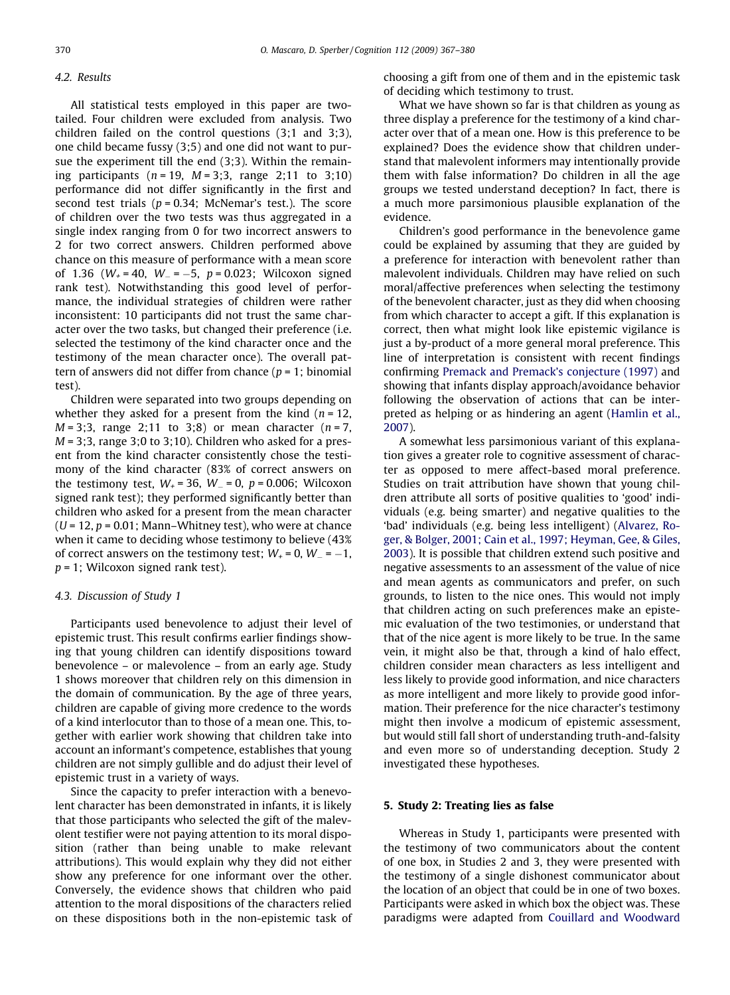# 4.2 Results

All statistical tests employed in this paper are twotailed. Four children were excluded from analysis. Two children failed on the control questions (3;1 and 3;3), one child became fussy (3;5) and one did not want to pursue the experiment till the end (3;3). Within the remaining participants ( $n = 19$ ,  $M = 3,3$ , range 2;11 to 3;10) performance did not differ significantly in the first and second test trials ( $p = 0.34$ ; McNemar's test.). The score of children over the two tests was thus aggregated in a single index ranging from 0 for two incorrect answers to 2 for two correct answers. Children performed above chance on this measure of performance with a mean score of 1.36 ( $W_+$  = 40,  $W_-$  = -5,  $p$  = 0.023; Wilcoxon signed rank test). Notwithstanding this good level of performance, the individual strategies of children were rather inconsistent: 10 participants did not trust the same character over the two tasks, but changed their preference (i.e. selected the testimony of the kind character once and the testimony of the mean character once). The overall pattern of answers did not differ from chance ( $p = 1$ ; binomial test).

Children were separated into two groups depending on whether they asked for a present from the kind  $(n = 12,$  $M = 3;3$ , range 2;11 to 3;8) or mean character ( $n = 7$ ,  $M = 3;3$ , range 3;0 to 3;10). Children who asked for a present from the kind character consistently chose the testimony of the kind character (83% of correct answers on the testimony test,  $W_+=36$ ,  $W_-=0$ ,  $p=0.006$ ; Wilcoxon signed rank test); they performed significantly better than children who asked for a present from the mean character  $(U = 12, p = 0.01;$  Mann–Whitney test), who were at chance when it came to deciding whose testimony to believe (43% of correct answers on the testimony test;  $W_+$  = 0,  $W_-$  =  $-1$ ,  $p = 1$ ; Wilcoxon signed rank test).

# 4.3. Discussion of Study 1

Participants used benevolence to adjust their level of epistemic trust. This result confirms earlier findings showing that young children can identify dispositions toward benevolence – or malevolence – from an early age. Study 1 shows moreover that children rely on this dimension in the domain of communication. By the age of three years, children are capable of giving more credence to the words of a kind interlocutor than to those of a mean one. This, together with earlier work showing that children take into account an informant's competence, establishes that young children are not simply gullible and do adjust their level of epistemic trust in a variety of ways.

Since the capacity to prefer interaction with a benevolent character has been demonstrated in infants, it is likely that those participants who selected the gift of the malevolent testifier were not paying attention to its moral disposition (rather than being unable to make relevant attributions). This would explain why they did not either show any preference for one informant over the other. Conversely, the evidence shows that children who paid attention to the moral dispositions of the characters relied on these dispositions both in the non-epistemic task of choosing a gift from one of them and in the epistemic task of deciding which testimony to trust.

What we have shown so far is that children as young as three display a preference for the testimony of a kind character over that of a mean one. How is this preference to be explained? Does the evidence show that children understand that malevolent informers may intentionally provide them with false information? Do children in all the age groups we tested understand deception? In fact, there is a much more parsimonious plausible explanation of the evidence.

Children's good performance in the benevolence game could be explained by assuming that they are guided by a preference for interaction with benevolent rather than malevolent individuals. Children may have relied on such moral/affective preferences when selecting the testimony of the benevolent character, just as they did when choosing from which character to accept a gift. If this explanation is correct, then what might look like epistemic vigilance is just a by-product of a more general moral preference. This line of interpretation is consistent with recent findings confirming [Premack and Premack's conjecture \(1997\)](#page-13-0) and showing that infants display approach/avoidance behavior following the observation of actions that can be interpreted as helping or as hindering an agent ([Hamlin et al.,](#page-12-0) [2007](#page-12-0)).

A somewhat less parsimonious variant of this explanation gives a greater role to cognitive assessment of character as opposed to mere affect-based moral preference. Studies on trait attribution have shown that young children attribute all sorts of positive qualities to 'good' individuals (e.g. being smarter) and negative qualities to the 'bad' individuals (e.g. being less intelligent) [\(Alvarez, Ro](#page-11-0)[ger, & Bolger, 2001; Cain et al., 1997; Heyman, Gee, & Giles,](#page-11-0) [2003](#page-11-0)). It is possible that children extend such positive and negative assessments to an assessment of the value of nice and mean agents as communicators and prefer, on such grounds, to listen to the nice ones. This would not imply that children acting on such preferences make an epistemic evaluation of the two testimonies, or understand that that of the nice agent is more likely to be true. In the same vein, it might also be that, through a kind of halo effect, children consider mean characters as less intelligent and less likely to provide good information, and nice characters as more intelligent and more likely to provide good information. Their preference for the nice character's testimony might then involve a modicum of epistemic assessment, but would still fall short of understanding truth-and-falsity and even more so of understanding deception. Study 2 investigated these hypotheses.

# 5. Study 2: Treating lies as false

Whereas in Study 1, participants were presented with the testimony of two communicators about the content of one box, in Studies 2 and 3, they were presented with the testimony of a single dishonest communicator about the location of an object that could be in one of two boxes. Participants were asked in which box the object was. These paradigms were adapted from [Couillard and Woodward](#page-12-0)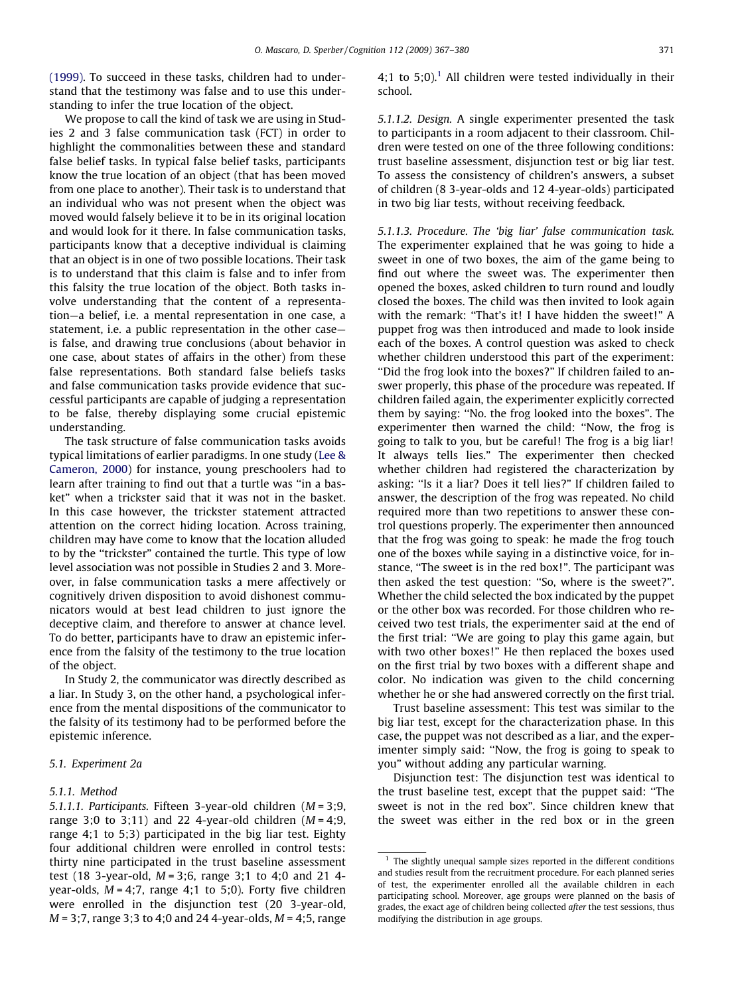[\(1999\).](#page-12-0) To succeed in these tasks, children had to understand that the testimony was false and to use this understanding to infer the true location of the object.

We propose to call the kind of task we are using in Studies 2 and 3 false communication task (FCT) in order to highlight the commonalities between these and standard false belief tasks. In typical false belief tasks, participants know the true location of an object (that has been moved from one place to another). Their task is to understand that an individual who was not present when the object was moved would falsely believe it to be in its original location and would look for it there. In false communication tasks, participants know that a deceptive individual is claiming that an object is in one of two possible locations. Their task is to understand that this claim is false and to infer from this falsity the true location of the object. Both tasks involve understanding that the content of a representation—a belief, i.e. a mental representation in one case, a statement, i.e. a public representation in the other case is false, and drawing true conclusions (about behavior in one case, about states of affairs in the other) from these false representations. Both standard false beliefs tasks and false communication tasks provide evidence that successful participants are capable of judging a representation to be false, thereby displaying some crucial epistemic understanding.

The task structure of false communication tasks avoids typical limitations of earlier paradigms. In one study ([Lee &](#page-12-0) [Cameron, 2000](#page-12-0)) for instance, young preschoolers had to learn after training to find out that a turtle was ''in a basket" when a trickster said that it was not in the basket. In this case however, the trickster statement attracted attention on the correct hiding location. Across training, children may have come to know that the location alluded to by the ''trickster" contained the turtle. This type of low level association was not possible in Studies 2 and 3. Moreover, in false communication tasks a mere affectively or cognitively driven disposition to avoid dishonest communicators would at best lead children to just ignore the deceptive claim, and therefore to answer at chance level. To do better, participants have to draw an epistemic inference from the falsity of the testimony to the true location of the object.

In Study 2, the communicator was directly described as a liar. In Study 3, on the other hand, a psychological inference from the mental dispositions of the communicator to the falsity of its testimony had to be performed before the epistemic inference.

### 5.1. Experiment 2a

# 5.1.1. Method

4;1 to 5;0).<sup>1</sup> All children were tested individually in their school.

5.1.1.2. Design. A single experimenter presented the task to participants in a room adjacent to their classroom. Children were tested on one of the three following conditions: trust baseline assessment, disjunction test or big liar test. To assess the consistency of children's answers, a subset of children (8 3-year-olds and 12 4-year-olds) participated in two big liar tests, without receiving feedback.

5.1.1.3. Procedure. The 'big liar' false communication task. The experimenter explained that he was going to hide a sweet in one of two boxes, the aim of the game being to find out where the sweet was. The experimenter then opened the boxes, asked children to turn round and loudly closed the boxes. The child was then invited to look again with the remark: ''That's it! I have hidden the sweet!" A puppet frog was then introduced and made to look inside each of the boxes. A control question was asked to check whether children understood this part of the experiment: ''Did the frog look into the boxes?" If children failed to answer properly, this phase of the procedure was repeated. If children failed again, the experimenter explicitly corrected them by saying: ''No. the frog looked into the boxes". The experimenter then warned the child: ''Now, the frog is going to talk to you, but be careful! The frog is a big liar! It always tells lies." The experimenter then checked whether children had registered the characterization by asking: ''Is it a liar? Does it tell lies?" If children failed to answer, the description of the frog was repeated. No child required more than two repetitions to answer these control questions properly. The experimenter then announced that the frog was going to speak: he made the frog touch one of the boxes while saying in a distinctive voice, for instance, ''The sweet is in the red box!". The participant was then asked the test question: ''So, where is the sweet?". Whether the child selected the box indicated by the puppet or the other box was recorded. For those children who received two test trials, the experimenter said at the end of the first trial: ''We are going to play this game again, but with two other boxes!" He then replaced the boxes used on the first trial by two boxes with a different shape and color. No indication was given to the child concerning whether he or she had answered correctly on the first trial.

Trust baseline assessment: This test was similar to the big liar test, except for the characterization phase. In this case, the puppet was not described as a liar, and the experimenter simply said: ''Now, the frog is going to speak to you" without adding any particular warning.

Disjunction test: The disjunction test was identical to the trust baseline test, except that the puppet said: ''The sweet is not in the red box". Since children knew that the sweet was either in the red box or in the green

<sup>5.1.1.1.</sup> Participants. Fifteen 3-year-old children  $(M = 3, 9, 1)$ range 3;0 to 3;11) and 22 4-year-old children  $(M = 4; 9, 1)$ range 4;1 to 5;3) participated in the big liar test. Eighty four additional children were enrolled in control tests: thirty nine participated in the trust baseline assessment test (18 3-year-old,  $M = 3;6$ , range 3;1 to 4;0 and 21 4year-olds,  $M = 4,7$ , range 4;1 to 5;0). Forty five children were enrolled in the disjunction test (20 3-year-old,  $M = 3$ ; 7, range 3; 3 to 4; 0 and 24 4-year-olds,  $M = 4$ ; 5, range

 $1$  The slightly unequal sample sizes reported in the different conditions and studies result from the recruitment procedure. For each planned series of test, the experimenter enrolled all the available children in each participating school. Moreover, age groups were planned on the basis of grades, the exact age of children being collected after the test sessions, thus modifying the distribution in age groups.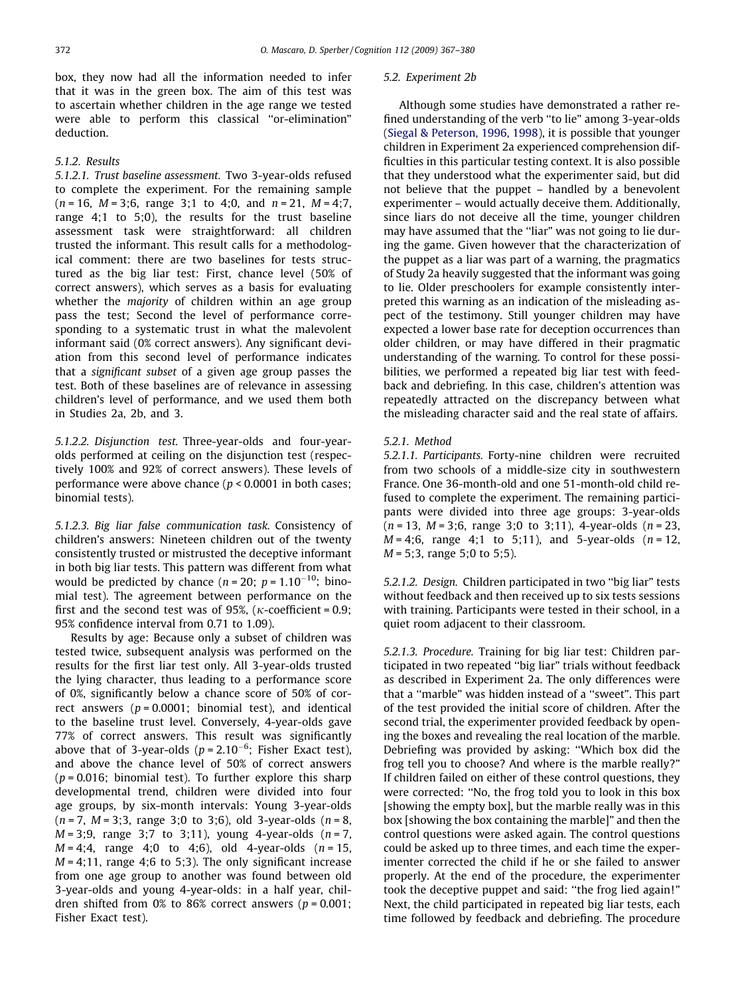box, they now had all the information needed to infer that it was in the green box. The aim of this test was to ascertain whether children in the age range we tested were able to perform this classical ''or-elimination" deduction.

# 5.1.2. Results

5.1.2.1. Trust baseline assessment. Two 3-year-olds refused to complete the experiment. For the remaining sample  $(n = 16, M = 3; 6, range 3; 1 to 4; 0, and n = 21, M = 4; 7,$ range 4;1 to 5;0), the results for the trust baseline assessment task were straightforward: all children trusted the informant. This result calls for a methodological comment: there are two baselines for tests structured as the big liar test: First, chance level (50% of correct answers), which serves as a basis for evaluating whether the *majority* of children within an age group pass the test; Second the level of performance corresponding to a systematic trust in what the malevolent informant said (0% correct answers). Any significant deviation from this second level of performance indicates that a significant subset of a given age group passes the test. Both of these baselines are of relevance in assessing children's level of performance, and we used them both in Studies 2a, 2b, and 3.

5.1.2.2. Disjunction test. Three-year-olds and four-yearolds performed at ceiling on the disjunction test (respectively 100% and 92% of correct answers). These levels of performance were above chance ( $p < 0.0001$  in both cases; binomial tests).

5.1.2.3. Big liar false communication task. Consistency of children's answers: Nineteen children out of the twenty consistently trusted or mistrusted the deceptive informant in both big liar tests. This pattern was different from what would be predicted by chance  $(n = 20; p = 1.10^{-10}; binom$ mial test). The agreement between performance on the first and the second test was of 95%,  $(k$ -coefficient = 0.9; 95% confidence interval from 0.71 to 1.09).

Results by age: Because only a subset of children was tested twice, subsequent analysis was performed on the results for the first liar test only. All 3-year-olds trusted the lying character, thus leading to a performance score of 0%, significantly below a chance score of 50% of correct answers ( $p = 0.0001$ ; binomial test), and identical to the baseline trust level. Conversely, 4-year-olds gave 77% of correct answers. This result was significantly above that of 3-year-olds ( $p = 2.10^{-6}$ ; Fisher Exact test), and above the chance level of 50% of correct answers  $(p = 0.016$ ; binomial test). To further explore this sharp developmental trend, children were divided into four age groups, by six-month intervals: Young 3-year-olds  $(n = 7, M = 3; 3,$  range 3;0 to 3;6), old 3-year-olds  $(n = 8,$  $M = 3;9$ , range 3;7 to 3;11), young 4-year-olds  $(n = 7,$  $M = 4;4$ , range 4;0 to 4;6), old 4-year-olds  $(n = 15,$  $M = 4,11$ , range 4;6 to 5;3). The only significant increase from one age group to another was found between old 3-year-olds and young 4-year-olds: in a half year, children shifted from 0% to 86% correct answers ( $p = 0.001$ ; Fisher Exact test).

## 5.2. Experiment 2b

Although some studies have demonstrated a rather refined understanding of the verb ''to lie" among 3-year-olds [\(Siegal & Peterson, 1996, 1998\)](#page-13-0), it is possible that younger children in Experiment 2a experienced comprehension difficulties in this particular testing context. It is also possible that they understood what the experimenter said, but did not believe that the puppet – handled by a benevolent experimenter – would actually deceive them. Additionally, since liars do not deceive all the time, younger children may have assumed that the ''liar" was not going to lie during the game. Given however that the characterization of the puppet as a liar was part of a warning, the pragmatics of Study 2a heavily suggested that the informant was going to lie. Older preschoolers for example consistently interpreted this warning as an indication of the misleading aspect of the testimony. Still younger children may have expected a lower base rate for deception occurrences than older children, or may have differed in their pragmatic understanding of the warning. To control for these possibilities, we performed a repeated big liar test with feedback and debriefing. In this case, children's attention was repeatedly attracted on the discrepancy between what the misleading character said and the real state of affairs.

#### 5.2.1. Method

5.2.1.1. Participants. Forty-nine children were recruited from two schools of a middle-size city in southwestern France. One 36-month-old and one 51-month-old child refused to complete the experiment. The remaining participants were divided into three age groups: 3-year-olds  $(n = 13, M = 3; 6, \text{ range } 3; 0 \text{ to } 3; 11)$ , 4-year-olds  $(n = 23,$  $M = 4;6$ , range  $4;1$  to 5;11), and 5-year-olds  $(n = 12,$  $M = 5;3$ , range 5;0 to 5;5).

5.2.1.2. Design. Children participated in two ''big liar" tests without feedback and then received up to six tests sessions with training. Participants were tested in their school, in a quiet room adjacent to their classroom.

5.2.1.3. Procedure. Training for big liar test: Children participated in two repeated ''big liar" trials without feedback as described in Experiment 2a. The only differences were that a ''marble" was hidden instead of a ''sweet". This part of the test provided the initial score of children. After the second trial, the experimenter provided feedback by opening the boxes and revealing the real location of the marble. Debriefing was provided by asking: ''Which box did the frog tell you to choose? And where is the marble really?" If children failed on either of these control questions, they were corrected: ''No, the frog told you to look in this box [showing the empty box], but the marble really was in this box [showing the box containing the marble]" and then the control questions were asked again. The control questions could be asked up to three times, and each time the experimenter corrected the child if he or she failed to answer properly. At the end of the procedure, the experimenter took the deceptive puppet and said: ''the frog lied again!" Next, the child participated in repeated big liar tests, each time followed by feedback and debriefing. The procedure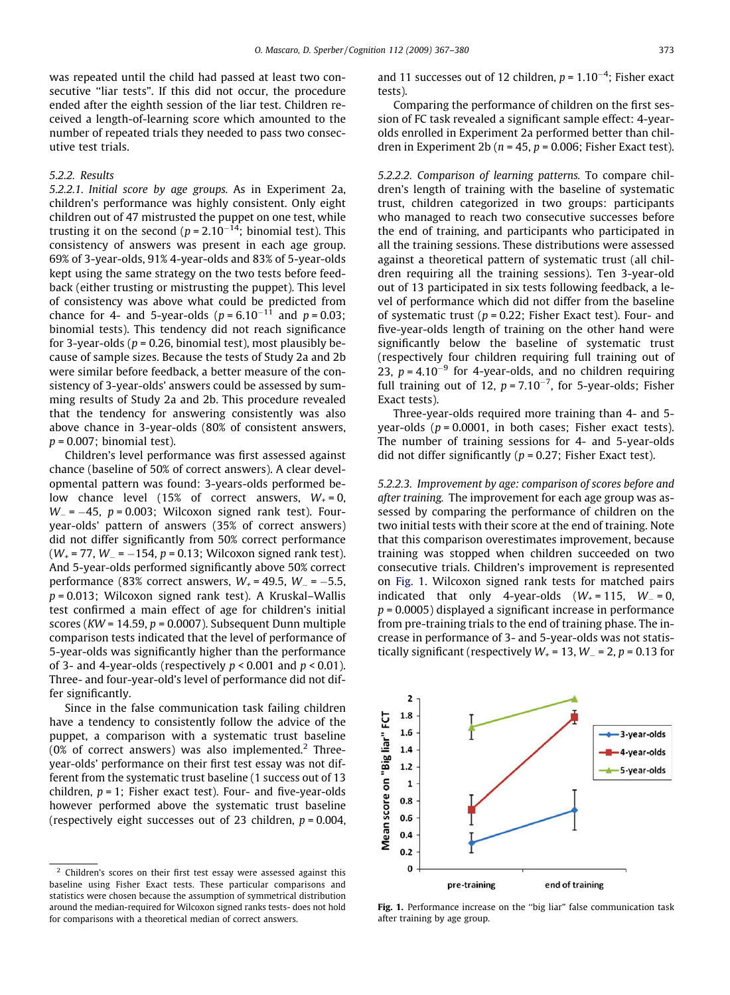was repeated until the child had passed at least two consecutive "liar tests". If this did not occur, the procedure ended after the eighth session of the liar test. Children received a length-of-learning score which amounted to the number of repeated trials they needed to pass two consecutive test trials.

# 5.2.2. Results

5.2.2.1. Initial score by age groups. As in Experiment 2a, children's performance was highly consistent. Only eight children out of 47 mistrusted the puppet on one test, while trusting it on the second ( $p = 2.10^{-14}$ ; binomial test). This consistency of answers was present in each age group. 69% of 3-year-olds, 91% 4-year-olds and 83% of 5-year-olds kept using the same strategy on the two tests before feedback (either trusting or mistrusting the puppet). This level of consistency was above what could be predicted from chance for 4- and 5-year-olds ( $p = 6.10^{-11}$  and  $p = 0.03$ ; binomial tests). This tendency did not reach significance for 3-year-olds ( $p = 0.26$ , binomial test), most plausibly because of sample sizes. Because the tests of Study 2a and 2b were similar before feedback, a better measure of the consistency of 3-year-olds' answers could be assessed by summing results of Study 2a and 2b. This procedure revealed that the tendency for answering consistently was also above chance in 3-year-olds (80% of consistent answers,  $p = 0.007$ ; binomial test).

Children's level performance was first assessed against chance (baseline of 50% of correct answers). A clear developmental pattern was found: 3-years-olds performed below chance level (15% of correct answers,  $W_+ = 0$ ,  $W_{-}$  =  $-45$ ,  $p$  = 0.003; Wilcoxon signed rank test). Fouryear-olds' pattern of answers (35% of correct answers) did not differ significantly from 50% correct performance  $(W_+$  = 77,  $W_-$  =  $-154$ ,  $p$  = 0.13; Wilcoxon signed rank test). And 5-year-olds performed significantly above 50% correct performance (83% correct answers,  $W_+$ = 49.5,  $W_-$  =  $-5.5$ ,  $p = 0.013$ ; Wilcoxon signed rank test). A Kruskal–Wallis test confirmed a main effect of age for children's initial scores ( $KW = 14.59$ ,  $p = 0.0007$ ). Subsequent Dunn multiple comparison tests indicated that the level of performance of 5-year-olds was significantly higher than the performance of 3- and 4-year-olds (respectively  $p < 0.001$  and  $p < 0.01$ ). Three- and four-year-old's level of performance did not differ significantly.

Since in the false communication task failing children have a tendency to consistently follow the advice of the puppet, a comparison with a systematic trust baseline (0% of correct answers) was also implemented. $2$  Threeyear-olds' performance on their first test essay was not different from the systematic trust baseline (1 success out of 13 children,  $p = 1$ ; Fisher exact test). Four- and five-year-olds however performed above the systematic trust baseline (respectively eight successes out of 23 children,  $p = 0.004$ ,

<sup>2</sup> Children's scores on their first test essay were assessed against this baseline using Fisher Exact tests. These particular comparisons and statistics were chosen because the assumption of symmetrical distribution around the median-required for Wilcoxon signed ranks tests- does not hold for comparisons with a theoretical median of correct answers.

and 11 successes out of 12 children,  $p = 1.10^{-4}$ ; Fisher exact tests).

Comparing the performance of children on the first session of FC task revealed a significant sample effect: 4-yearolds enrolled in Experiment 2a performed better than children in Experiment 2b ( $n = 45$ ,  $p = 0.006$ ; Fisher Exact test).

5.2.2.2. Comparison of learning patterns. To compare children's length of training with the baseline of systematic trust, children categorized in two groups: participants who managed to reach two consecutive successes before the end of training, and participants who participated in all the training sessions. These distributions were assessed against a theoretical pattern of systematic trust (all children requiring all the training sessions). Ten 3-year-old out of 13 participated in six tests following feedback, a level of performance which did not differ from the baseline of systematic trust ( $p = 0.22$ ; Fisher Exact test). Four- and five-year-olds length of training on the other hand were significantly below the baseline of systematic trust (respectively four children requiring full training out of 23,  $p = 4.10^{-9}$  for 4-year-olds, and no children requiring full training out of 12,  $p = 7.10^{-7}$ , for 5-year-olds; Fisher Exact tests).

Three-year-olds required more training than 4- and 5 year-olds ( $p = 0.0001$ , in both cases; Fisher exact tests). The number of training sessions for 4- and 5-year-olds did not differ significantly ( $p = 0.27$ ; Fisher Exact test).

5.2.2.3. Improvement by age: comparison of scores before and after training. The improvement for each age group was assessed by comparing the performance of children on the two initial tests with their score at the end of training. Note that this comparison overestimates improvement, because training was stopped when children succeeded on two consecutive trials. Children's improvement is represented on Fig. 1. Wilcoxon signed rank tests for matched pairs indicated that only 4-year-olds  $(W_+ = 115, W_- = 0,$  $p = 0.0005$ ) displayed a significant increase in performance from pre-training trials to the end of training phase. The increase in performance of 3- and 5-year-olds was not statistically significant (respectively  $W_+=13$ ,  $W_-=2$ ,  $p=0.13$  for

Fig. 1. Performance increase on the "big liar" false communication task after training by age group.

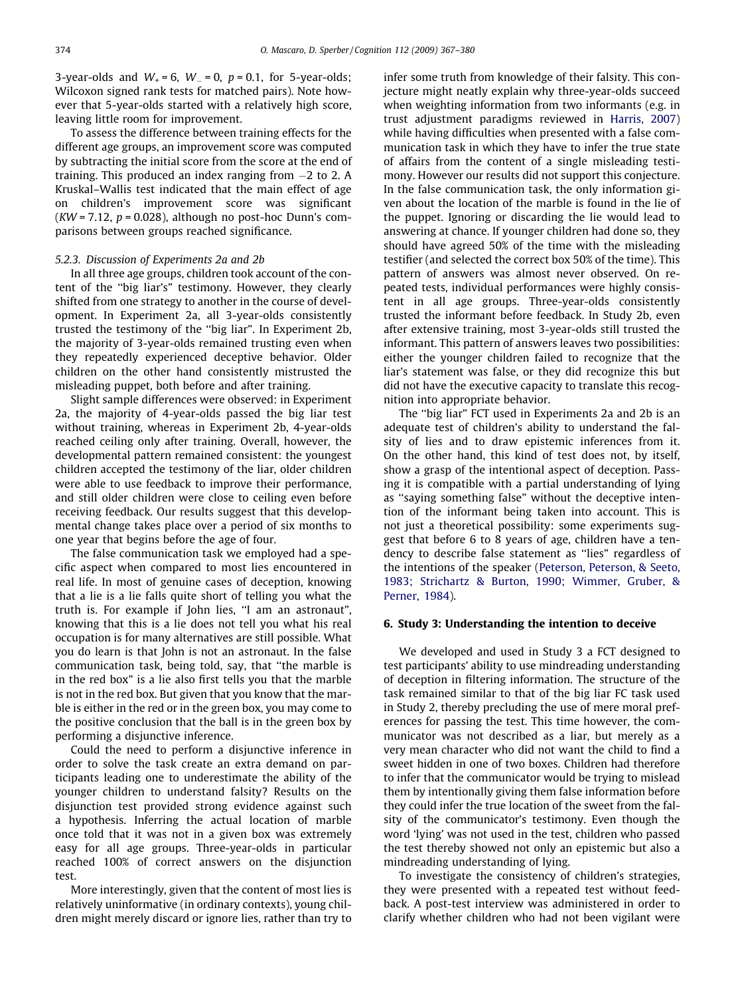3-year-olds and  $W_+=6$ ,  $W_-=0$ ,  $p=0.1$ , for 5-year-olds; Wilcoxon signed rank tests for matched pairs). Note however that 5-year-olds started with a relatively high score, leaving little room for improvement.

To assess the difference between training effects for the different age groups, an improvement score was computed by subtracting the initial score from the score at the end of training. This produced an index ranging from -2 to 2. A Kruskal–Wallis test indicated that the main effect of age on children's improvement score was significant  $(KW = 7.12, p = 0.028)$ , although no post-hoc Dunn's comparisons between groups reached significance.

#### 5.2.3. Discussion of Experiments 2a and 2b

In all three age groups, children took account of the content of the ''big liar's" testimony. However, they clearly shifted from one strategy to another in the course of development. In Experiment 2a, all 3-year-olds consistently trusted the testimony of the ''big liar". In Experiment 2b, the majority of 3-year-olds remained trusting even when they repeatedly experienced deceptive behavior. Older children on the other hand consistently mistrusted the misleading puppet, both before and after training.

Slight sample differences were observed: in Experiment 2a, the majority of 4-year-olds passed the big liar test without training, whereas in Experiment 2b, 4-year-olds reached ceiling only after training. Overall, however, the developmental pattern remained consistent: the youngest children accepted the testimony of the liar, older children were able to use feedback to improve their performance, and still older children were close to ceiling even before receiving feedback. Our results suggest that this developmental change takes place over a period of six months to one year that begins before the age of four.

The false communication task we employed had a specific aspect when compared to most lies encountered in real life. In most of genuine cases of deception, knowing that a lie is a lie falls quite short of telling you what the truth is. For example if John lies, ''I am an astronaut", knowing that this is a lie does not tell you what his real occupation is for many alternatives are still possible. What you do learn is that John is not an astronaut. In the false communication task, being told, say, that ''the marble is in the red box" is a lie also first tells you that the marble is not in the red box. But given that you know that the marble is either in the red or in the green box, you may come to the positive conclusion that the ball is in the green box by performing a disjunctive inference.

Could the need to perform a disjunctive inference in order to solve the task create an extra demand on participants leading one to underestimate the ability of the younger children to understand falsity? Results on the disjunction test provided strong evidence against such a hypothesis. Inferring the actual location of marble once told that it was not in a given box was extremely easy for all age groups. Three-year-olds in particular reached 100% of correct answers on the disjunction test.

More interestingly, given that the content of most lies is relatively uninformative (in ordinary contexts), young children might merely discard or ignore lies, rather than try to infer some truth from knowledge of their falsity. This conjecture might neatly explain why three-year-olds succeed when weighting information from two informants (e.g. in trust adjustment paradigms reviewed in [Harris, 2007](#page-12-0)) while having difficulties when presented with a false communication task in which they have to infer the true state of affairs from the content of a single misleading testimony. However our results did not support this conjecture. In the false communication task, the only information given about the location of the marble is found in the lie of the puppet. Ignoring or discarding the lie would lead to answering at chance. If younger children had done so, they should have agreed 50% of the time with the misleading testifier (and selected the correct box 50% of the time). This pattern of answers was almost never observed. On repeated tests, individual performances were highly consistent in all age groups. Three-year-olds consistently trusted the informant before feedback. In Study 2b, even after extensive training, most 3-year-olds still trusted the informant. This pattern of answers leaves two possibilities: either the younger children failed to recognize that the liar's statement was false, or they did recognize this but did not have the executive capacity to translate this recognition into appropriate behavior.

The "big liar" FCT used in Experiments 2a and 2b is an adequate test of children's ability to understand the falsity of lies and to draw epistemic inferences from it. On the other hand, this kind of test does not, by itself, show a grasp of the intentional aspect of deception. Passing it is compatible with a partial understanding of lying as ''saying something false" without the deceptive intention of the informant being taken into account. This is not just a theoretical possibility: some experiments suggest that before 6 to 8 years of age, children have a tendency to describe false statement as ''lies" regardless of the intentions of the speaker [\(Peterson, Peterson, & Seeto,](#page-13-0) [1983; Strichartz & Burton, 1990; Wimmer, Gruber, &](#page-13-0) [Perner, 1984](#page-13-0)).

#### 6. Study 3: Understanding the intention to deceive

We developed and used in Study 3 a FCT designed to test participants' ability to use mindreading understanding of deception in filtering information. The structure of the task remained similar to that of the big liar FC task used in Study 2, thereby precluding the use of mere moral preferences for passing the test. This time however, the communicator was not described as a liar, but merely as a very mean character who did not want the child to find a sweet hidden in one of two boxes. Children had therefore to infer that the communicator would be trying to mislead them by intentionally giving them false information before they could infer the true location of the sweet from the falsity of the communicator's testimony. Even though the word 'lying' was not used in the test, children who passed the test thereby showed not only an epistemic but also a mindreading understanding of lying.

To investigate the consistency of children's strategies, they were presented with a repeated test without feedback. A post-test interview was administered in order to clarify whether children who had not been vigilant were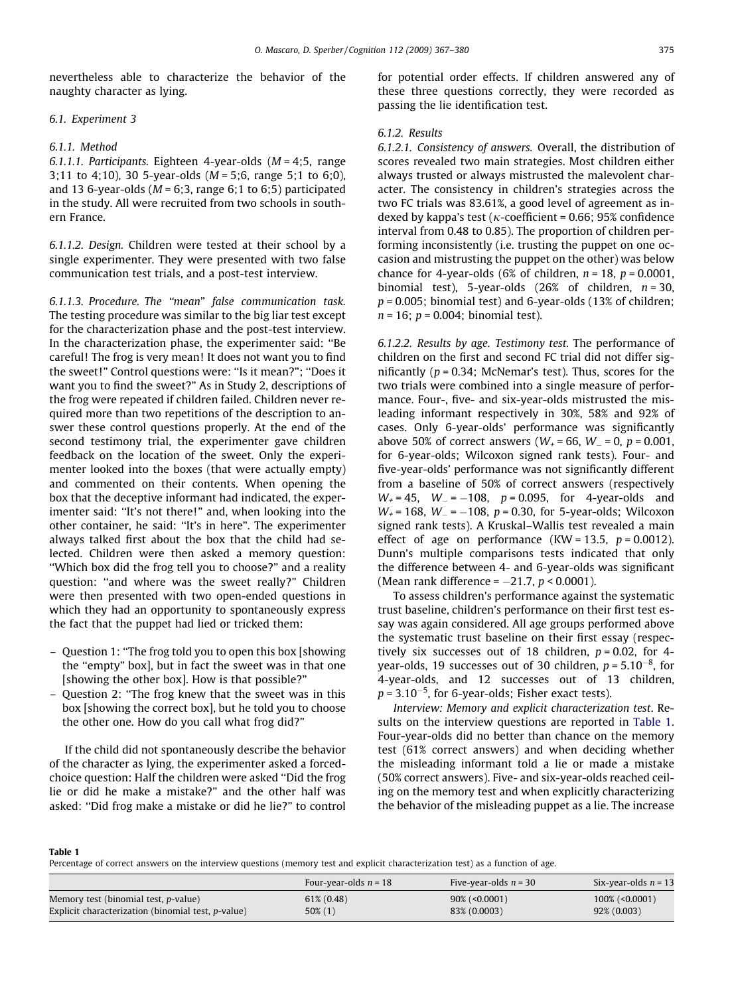nevertheless able to characterize the behavior of the naughty character as lying.

# 6.1. Experiment 3

### 6.1.1. Method

6.1.1.1. Participants. Eighteen 4-year-olds  $(M = 4, 5, \text{ range})$ 3;11 to 4;10), 30 5-year-olds ( $M = 5$ ;6, range 5;1 to 6;0), and 13 6-year-olds ( $M = 6:3$ , range 6:1 to 6:5) participated in the study. All were recruited from two schools in southern France.

6.1.1.2. Design. Children were tested at their school by a single experimenter. They were presented with two false communication test trials, and a post-test interview.

6.1.1.3. Procedure. The ''mean" false communication task. The testing procedure was similar to the big liar test except for the characterization phase and the post-test interview. In the characterization phase, the experimenter said: ''Be careful! The frog is very mean! It does not want you to find the sweet!" Control questions were: ''Is it mean?"; ''Does it want you to find the sweet?" As in Study 2, descriptions of the frog were repeated if children failed. Children never required more than two repetitions of the description to answer these control questions properly. At the end of the second testimony trial, the experimenter gave children feedback on the location of the sweet. Only the experimenter looked into the boxes (that were actually empty) and commented on their contents. When opening the box that the deceptive informant had indicated, the experimenter said: ''It's not there!" and, when looking into the other container, he said: ''It's in here". The experimenter always talked first about the box that the child had selected. Children were then asked a memory question: ''Which box did the frog tell you to choose?" and a reality question: ''and where was the sweet really?" Children were then presented with two open-ended questions in which they had an opportunity to spontaneously express the fact that the puppet had lied or tricked them:

- Question 1: ''The frog told you to open this box [showing the ''empty" box], but in fact the sweet was in that one [showing the other box]. How is that possible?"
- Question 2: ''The frog knew that the sweet was in this box [showing the correct box], but he told you to choose the other one. How do you call what frog did?"

If the child did not spontaneously describe the behavior of the character as lying, the experimenter asked a forcedchoice question: Half the children were asked ''Did the frog lie or did he make a mistake?" and the other half was asked: ''Did frog make a mistake or did he lie?" to control for potential order effects. If children answered any of these three questions correctly, they were recorded as passing the lie identification test.

#### 6.1.2. Results

6.1.2.1. Consistency of answers. Overall, the distribution of scores revealed two main strategies. Most children either always trusted or always mistrusted the malevolent character. The consistency in children's strategies across the two FC trials was 83.61%, a good level of agreement as indexed by kappa's test ( $\kappa$ -coefficient = 0.66; 95% confidence interval from 0.48 to 0.85). The proportion of children performing inconsistently (i.e. trusting the puppet on one occasion and mistrusting the puppet on the other) was below chance for 4-year-olds (6% of children,  $n = 18$ ,  $p = 0.0001$ , binomial test), 5-year-olds (26% of children,  $n = 30$ ,  $p = 0.005$ ; binomial test) and 6-year-olds (13% of children;  $n = 16$ ;  $p = 0.004$ ; binomial test).

6.1.2.2. Results by age. Testimony test. The performance of children on the first and second FC trial did not differ significantly ( $p = 0.34$ : McNemar's test). Thus, scores for the two trials were combined into a single measure of performance. Four-, five- and six-year-olds mistrusted the misleading informant respectively in 30%, 58% and 92% of cases. Only 6-year-olds' performance was significantly above 50% of correct answers ( $W_+$  = 66,  $W_-$  = 0,  $p$  = 0.001, for 6-year-olds; Wilcoxon signed rank tests). Four- and five-year-olds' performance was not significantly different from a baseline of 50% of correct answers (respectively  $W_+$  = 45,  $W_-$  =  $-108$ ,  $p$  = 0.095, for 4-year-olds and  $W_+$  = 168,  $W_-$  =  $-108$ ,  $p$  = 0.30, for 5-year-olds; Wilcoxon signed rank tests). A Kruskal–Wallis test revealed a main effect of age on performance (KW = 13.5,  $p = 0.0012$ ). Dunn's multiple comparisons tests indicated that only the difference between 4- and 6-year-olds was significant (Mean rank difference =  $-21.7$ ,  $p < 0.0001$ ).

To assess children's performance against the systematic trust baseline, children's performance on their first test essay was again considered. All age groups performed above the systematic trust baseline on their first essay (respectively six successes out of 18 children,  $p = 0.02$ , for 4year-olds, 19 successes out of 30 children,  $p = 5.10^{-8}$ , for 4-year-olds, and 12 successes out of 13 children,  $p$  = 3.10 $^{-5}$ , for 6-year-olds; Fisher exact tests).

Interview: Memory and explicit characterization test. Results on the interview questions are reported in Table 1. Four-year-olds did no better than chance on the memory test (61% correct answers) and when deciding whether the misleading informant told a lie or made a mistake (50% correct answers). Five- and six-year-olds reached ceiling on the memory test and when explicitly characterizing the behavior of the misleading puppet as a lie. The increase

Table 1

Percentage of correct answers on the interview questions (memory test and explicit characterization test) as a function of age.

|                                                    | Four-year-olds $n = 18$ | Five-year-olds $n = 30$ | Six-vear-olds $n = 13$ |
|----------------------------------------------------|-------------------------|-------------------------|------------------------|
| Memory test (binomial test, <i>p</i> -value)       | 61% (0.48)              | $90\%$ (<0.0001)        | $100\%$ (<0.0001)      |
| Explicit characterization (binomial test, p-value) | $50\%$ (1)              | 83% (0.0003)            | $92\% (0.003)$         |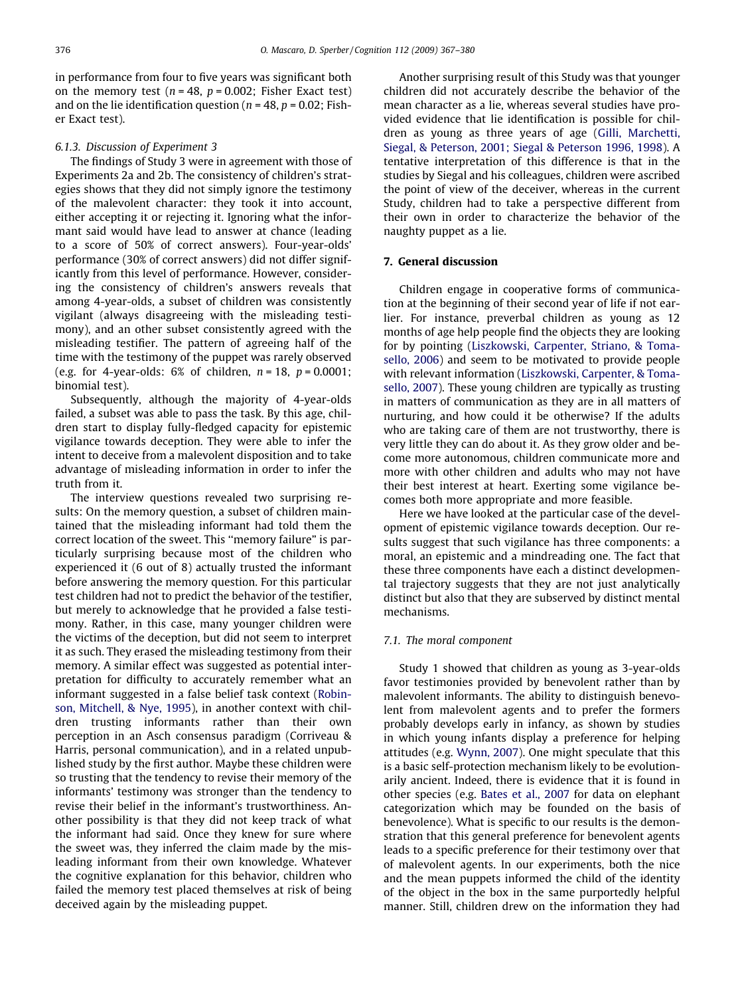in performance from four to five years was significant both on the memory test ( $n = 48$ ,  $p = 0.002$ ; Fisher Exact test) and on the lie identification question ( $n = 48$ ,  $p = 0.02$ ; Fisher Exact test).

# 6.1.3. Discussion of Experiment 3

The findings of Study 3 were in agreement with those of Experiments 2a and 2b. The consistency of children's strategies shows that they did not simply ignore the testimony of the malevolent character: they took it into account, either accepting it or rejecting it. Ignoring what the informant said would have lead to answer at chance (leading to a score of 50% of correct answers). Four-year-olds' performance (30% of correct answers) did not differ significantly from this level of performance. However, considering the consistency of children's answers reveals that among 4-year-olds, a subset of children was consistently vigilant (always disagreeing with the misleading testimony), and an other subset consistently agreed with the misleading testifier. The pattern of agreeing half of the time with the testimony of the puppet was rarely observed (e.g. for 4-year-olds:  $6\%$  of children,  $n = 18$ ,  $p = 0.0001$ ; binomial test).

Subsequently, although the majority of 4-year-olds failed, a subset was able to pass the task. By this age, children start to display fully-fledged capacity for epistemic vigilance towards deception. They were able to infer the intent to deceive from a malevolent disposition and to take advantage of misleading information in order to infer the truth from it.

The interview questions revealed two surprising results: On the memory question, a subset of children maintained that the misleading informant had told them the correct location of the sweet. This ''memory failure" is particularly surprising because most of the children who experienced it (6 out of 8) actually trusted the informant before answering the memory question. For this particular test children had not to predict the behavior of the testifier, but merely to acknowledge that he provided a false testimony. Rather, in this case, many younger children were the victims of the deception, but did not seem to interpret it as such. They erased the misleading testimony from their memory. A similar effect was suggested as potential interpretation for difficulty to accurately remember what an informant suggested in a false belief task context [\(Robin](#page-13-0)[son, Mitchell, & Nye, 1995\)](#page-13-0), in another context with children trusting informants rather than their own perception in an Asch consensus paradigm (Corriveau & Harris, personal communication), and in a related unpublished study by the first author. Maybe these children were so trusting that the tendency to revise their memory of the informants' testimony was stronger than the tendency to revise their belief in the informant's trustworthiness. Another possibility is that they did not keep track of what the informant had said. Once they knew for sure where the sweet was, they inferred the claim made by the misleading informant from their own knowledge. Whatever the cognitive explanation for this behavior, children who failed the memory test placed themselves at risk of being deceived again by the misleading puppet.

Another surprising result of this Study was that younger children did not accurately describe the behavior of the mean character as a lie, whereas several studies have provided evidence that lie identification is possible for children as young as three years of age [\(Gilli, Marchetti,](#page-12-0) [Siegal, & Peterson, 2001; Siegal & Peterson 1996, 1998](#page-12-0)). A tentative interpretation of this difference is that in the studies by Siegal and his colleagues, children were ascribed the point of view of the deceiver, whereas in the current Study, children had to take a perspective different from their own in order to characterize the behavior of the naughty puppet as a lie.

#### 7. General discussion

Children engage in cooperative forms of communication at the beginning of their second year of life if not earlier. For instance, preverbal children as young as 12 months of age help people find the objects they are looking for by pointing ([Liszkowski, Carpenter, Striano, & Toma](#page-12-0)[sello, 2006\)](#page-12-0) and seem to be motivated to provide people with relevant information [\(Liszkowski, Carpenter, & Toma](#page-12-0)[sello, 2007\)](#page-12-0). These young children are typically as trusting in matters of communication as they are in all matters of nurturing, and how could it be otherwise? If the adults who are taking care of them are not trustworthy, there is very little they can do about it. As they grow older and become more autonomous, children communicate more and more with other children and adults who may not have their best interest at heart. Exerting some vigilance becomes both more appropriate and more feasible.

Here we have looked at the particular case of the development of epistemic vigilance towards deception. Our results suggest that such vigilance has three components: a moral, an epistemic and a mindreading one. The fact that these three components have each a distinct developmental trajectory suggests that they are not just analytically distinct but also that they are subserved by distinct mental mechanisms.

#### 7.1. The moral component

Study 1 showed that children as young as 3-year-olds favor testimonies provided by benevolent rather than by malevolent informants. The ability to distinguish benevolent from malevolent agents and to prefer the formers probably develops early in infancy, as shown by studies in which young infants display a preference for helping attitudes (e.g. [Wynn, 2007\)](#page-13-0). One might speculate that this is a basic self-protection mechanism likely to be evolutionarily ancient. Indeed, there is evidence that it is found in other species (e.g. [Bates et al., 2007](#page-11-0) for data on elephant categorization which may be founded on the basis of benevolence). What is specific to our results is the demonstration that this general preference for benevolent agents leads to a specific preference for their testimony over that of malevolent agents. In our experiments, both the nice and the mean puppets informed the child of the identity of the object in the box in the same purportedly helpful manner. Still, children drew on the information they had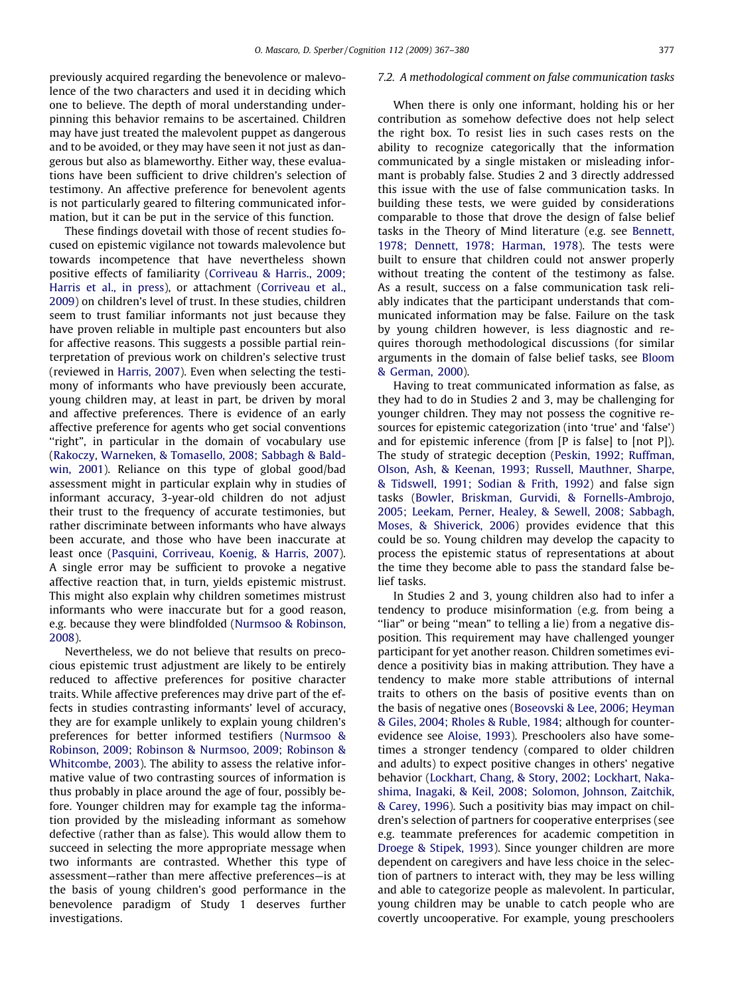previously acquired regarding the benevolence or malevolence of the two characters and used it in deciding which one to believe. The depth of moral understanding underpinning this behavior remains to be ascertained. Children may have just treated the malevolent puppet as dangerous and to be avoided, or they may have seen it not just as dangerous but also as blameworthy. Either way, these evaluations have been sufficient to drive children's selection of testimony. An affective preference for benevolent agents is not particularly geared to filtering communicated information, but it can be put in the service of this function.

These findings dovetail with those of recent studies focused on epistemic vigilance not towards malevolence but towards incompetence that have nevertheless shown positive effects of familiarity ([Corriveau & Harris., 2009;](#page-12-0) [Harris et al., in press\)](#page-12-0), or attachment ([Corriveau et al.,](#page-12-0) [2009\)](#page-12-0) on children's level of trust. In these studies, children seem to trust familiar informants not just because they have proven reliable in multiple past encounters but also for affective reasons. This suggests a possible partial reinterpretation of previous work on children's selective trust (reviewed in [Harris, 2007](#page-12-0)). Even when selecting the testimony of informants who have previously been accurate, young children may, at least in part, be driven by moral and affective preferences. There is evidence of an early affective preference for agents who get social conventions "right", in particular in the domain of vocabulary use ([Rakoczy, Warneken, & Tomasello, 2008; Sabbagh & Bald](#page-13-0)[win, 2001](#page-13-0)). Reliance on this type of global good/bad assessment might in particular explain why in studies of informant accuracy, 3-year-old children do not adjust their trust to the frequency of accurate testimonies, but rather discriminate between informants who have always been accurate, and those who have been inaccurate at least once [\(Pasquini, Corriveau, Koenig, & Harris, 2007](#page-12-0)). A single error may be sufficient to provoke a negative affective reaction that, in turn, yields epistemic mistrust. This might also explain why children sometimes mistrust informants who were inaccurate but for a good reason, e.g. because they were blindfolded [\(Nurmsoo & Robinson,](#page-12-0) [2008\)](#page-12-0).

Nevertheless, we do not believe that results on precocious epistemic trust adjustment are likely to be entirely reduced to affective preferences for positive character traits. While affective preferences may drive part of the effects in studies contrasting informants' level of accuracy, they are for example unlikely to explain young children's preferences for better informed testifiers [\(Nurmsoo &](#page-12-0) [Robinson, 2009; Robinson & Nurmsoo, 2009; Robinson &](#page-12-0) [Whitcombe, 2003](#page-12-0)). The ability to assess the relative informative value of two contrasting sources of information is thus probably in place around the age of four, possibly before. Younger children may for example tag the information provided by the misleading informant as somehow defective (rather than as false). This would allow them to succeed in selecting the more appropriate message when two informants are contrasted. Whether this type of assessment—rather than mere affective preferences—is at the basis of young children's good performance in the benevolence paradigm of Study 1 deserves further investigations.

#### 7.2. A methodological comment on false communication tasks

When there is only one informant, holding his or her contribution as somehow defective does not help select the right box. To resist lies in such cases rests on the ability to recognize categorically that the information communicated by a single mistaken or misleading informant is probably false. Studies 2 and 3 directly addressed this issue with the use of false communication tasks. In building these tests, we were guided by considerations comparable to those that drove the design of false belief tasks in the Theory of Mind literature (e.g. see [Bennett,](#page-11-0) [1978; Dennett, 1978; Harman, 1978](#page-11-0)). The tests were built to ensure that children could not answer properly without treating the content of the testimony as false. As a result, success on a false communication task reliably indicates that the participant understands that communicated information may be false. Failure on the task by young children however, is less diagnostic and requires thorough methodological discussions (for similar arguments in the domain of false belief tasks, see [Bloom](#page-12-0) [& German, 2000](#page-12-0)).

Having to treat communicated information as false, as they had to do in Studies 2 and 3, may be challenging for younger children. They may not possess the cognitive resources for epistemic categorization (into 'true' and 'false') and for epistemic inference (from [P is false] to [not P]). The study of strategic deception ([Peskin, 1992; Ruffman,](#page-12-0) [Olson, Ash, & Keenan, 1993; Russell, Mauthner, Sharpe,](#page-12-0) [& Tidswell, 1991; Sodian & Frith, 1992\)](#page-12-0) and false sign tasks [\(Bowler, Briskman, Gurvidi, & Fornells-Ambrojo,](#page-12-0) [2005; Leekam, Perner, Healey, & Sewell, 2008; Sabbagh,](#page-12-0) [Moses, & Shiverick, 2006](#page-12-0)) provides evidence that this could be so. Young children may develop the capacity to process the epistemic status of representations at about the time they become able to pass the standard false belief tasks.

In Studies 2 and 3, young children also had to infer a tendency to produce misinformation (e.g. from being a "liar" or being "mean" to telling a lie) from a negative disposition. This requirement may have challenged younger participant for yet another reason. Children sometimes evidence a positivity bias in making attribution. They have a tendency to make more stable attributions of internal traits to others on the basis of positive events than on the basis of negative ones ([Boseovski & Lee, 2006; Heyman](#page-12-0) [& Giles, 2004; Rholes & Ruble, 1984;](#page-12-0) although for counterevidence see [Aloise, 1993](#page-11-0)). Preschoolers also have sometimes a stronger tendency (compared to older children and adults) to expect positive changes in others' negative behavior ([Lockhart, Chang, & Story, 2002; Lockhart, Naka](#page-12-0)[shima, Inagaki, & Keil, 2008; Solomon, Johnson, Zaitchik,](#page-12-0) [& Carey, 1996](#page-12-0)). Such a positivity bias may impact on children's selection of partners for cooperative enterprises (see e.g. teammate preferences for academic competition in [Droege & Stipek, 1993](#page-12-0)). Since younger children are more dependent on caregivers and have less choice in the selection of partners to interact with, they may be less willing and able to categorize people as malevolent. In particular, young children may be unable to catch people who are covertly uncooperative. For example, young preschoolers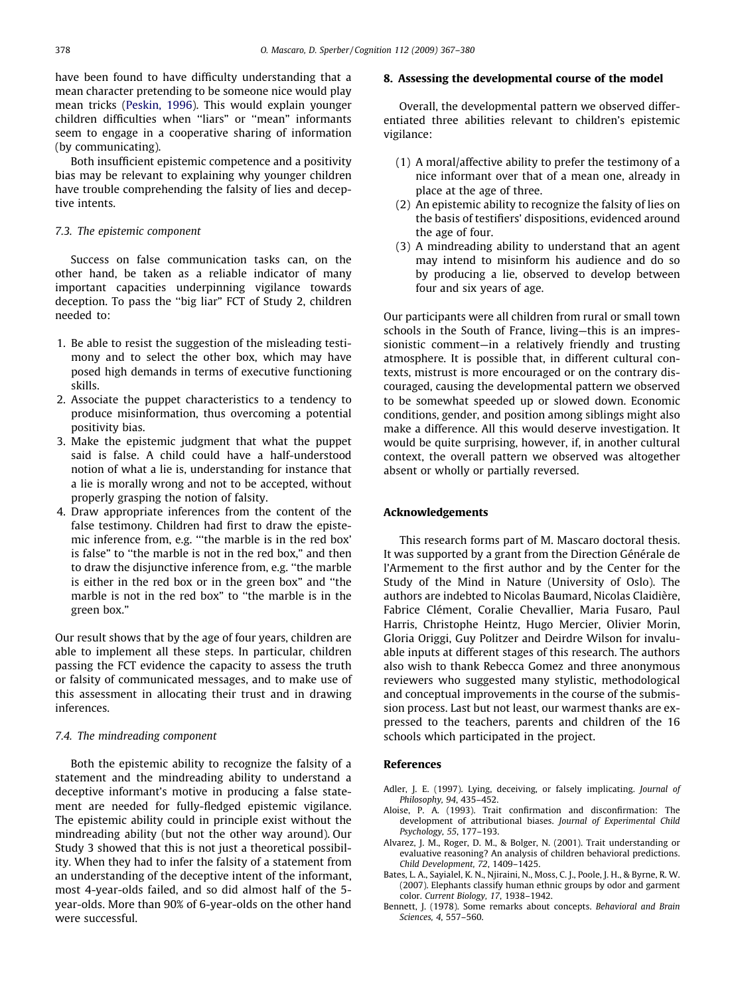<span id="page-11-0"></span>have been found to have difficulty understanding that a mean character pretending to be someone nice would play mean tricks [\(Peskin, 1996](#page-12-0)). This would explain younger children difficulties when "liars" or "mean" informants seem to engage in a cooperative sharing of information (by communicating).

Both insufficient epistemic competence and a positivity bias may be relevant to explaining why younger children have trouble comprehending the falsity of lies and deceptive intents.

#### 7.3. The epistemic component

Success on false communication tasks can, on the other hand, be taken as a reliable indicator of many important capacities underpinning vigilance towards deception. To pass the ''big liar" FCT of Study 2, children needed to:

- 1. Be able to resist the suggestion of the misleading testimony and to select the other box, which may have posed high demands in terms of executive functioning skills.
- 2. Associate the puppet characteristics to a tendency to produce misinformation, thus overcoming a potential positivity bias.
- 3. Make the epistemic judgment that what the puppet said is false. A child could have a half-understood notion of what a lie is, understanding for instance that a lie is morally wrong and not to be accepted, without properly grasping the notion of falsity.
- 4. Draw appropriate inferences from the content of the false testimony. Children had first to draw the epistemic inference from, e.g. '''the marble is in the red box' is false" to ''the marble is not in the red box," and then to draw the disjunctive inference from, e.g. ''the marble is either in the red box or in the green box" and ''the marble is not in the red box" to ''the marble is in the green box."

Our result shows that by the age of four years, children are able to implement all these steps. In particular, children passing the FCT evidence the capacity to assess the truth or falsity of communicated messages, and to make use of this assessment in allocating their trust and in drawing inferences.

#### 7.4. The mindreading component

Both the epistemic ability to recognize the falsity of a statement and the mindreading ability to understand a deceptive informant's motive in producing a false statement are needed for fully-fledged epistemic vigilance. The epistemic ability could in principle exist without the mindreading ability (but not the other way around). Our Study 3 showed that this is not just a theoretical possibility. When they had to infer the falsity of a statement from an understanding of the deceptive intent of the informant, most 4-year-olds failed, and so did almost half of the 5 year-olds. More than 90% of 6-year-olds on the other hand were successful.

# 8. Assessing the developmental course of the model

Overall, the developmental pattern we observed differentiated three abilities relevant to children's epistemic vigilance:

- (1) A moral/affective ability to prefer the testimony of a nice informant over that of a mean one, already in place at the age of three.
- (2) An epistemic ability to recognize the falsity of lies on the basis of testifiers' dispositions, evidenced around the age of four.
- (3) A mindreading ability to understand that an agent may intend to misinform his audience and do so by producing a lie, observed to develop between four and six years of age.

Our participants were all children from rural or small town schools in the South of France, living—this is an impressionistic comment—in a relatively friendly and trusting atmosphere. It is possible that, in different cultural contexts, mistrust is more encouraged or on the contrary discouraged, causing the developmental pattern we observed to be somewhat speeded up or slowed down. Economic conditions, gender, and position among siblings might also make a difference. All this would deserve investigation. It would be quite surprising, however, if, in another cultural context, the overall pattern we observed was altogether absent or wholly or partially reversed.

#### Acknowledgements

This research forms part of M. Mascaro doctoral thesis. It was supported by a grant from the Direction Générale de l'Armement to the first author and by the Center for the Study of the Mind in Nature (University of Oslo). The authors are indebted to Nicolas Baumard, Nicolas Claidière, Fabrice Clément, Coralie Chevallier, Maria Fusaro, Paul Harris, Christophe Heintz, Hugo Mercier, Olivier Morin, Gloria Origgi, Guy Politzer and Deirdre Wilson for invaluable inputs at different stages of this research. The authors also wish to thank Rebecca Gomez and three anonymous reviewers who suggested many stylistic, methodological and conceptual improvements in the course of the submission process. Last but not least, our warmest thanks are expressed to the teachers, parents and children of the 16 schools which participated in the project.

# References

- Adler, J. E. (1997). Lying, deceiving, or falsely implicating. Journal of Philosophy, 94, 435–452.
- Aloise, P. A. (1993). Trait confirmation and disconfirmation: The development of attributional biases. Journal of Experimental Child Psychology, 55, 177–193.
- Alvarez, J. M., Roger, D. M., & Bolger, N. (2001). Trait understanding or evaluative reasoning? An analysis of children behavioral predictions. Child Development, 72, 1409–1425.
- Bates, L. A., Sayialel, K. N., Njiraini, N., Moss, C. J., Poole, J. H., & Byrne, R. W. (2007). Elephants classify human ethnic groups by odor and garment color. Current Biology, 17, 1938–1942.
- Bennett, J. (1978). Some remarks about concepts. Behavioral and Brain Sciences, 4, 557–560.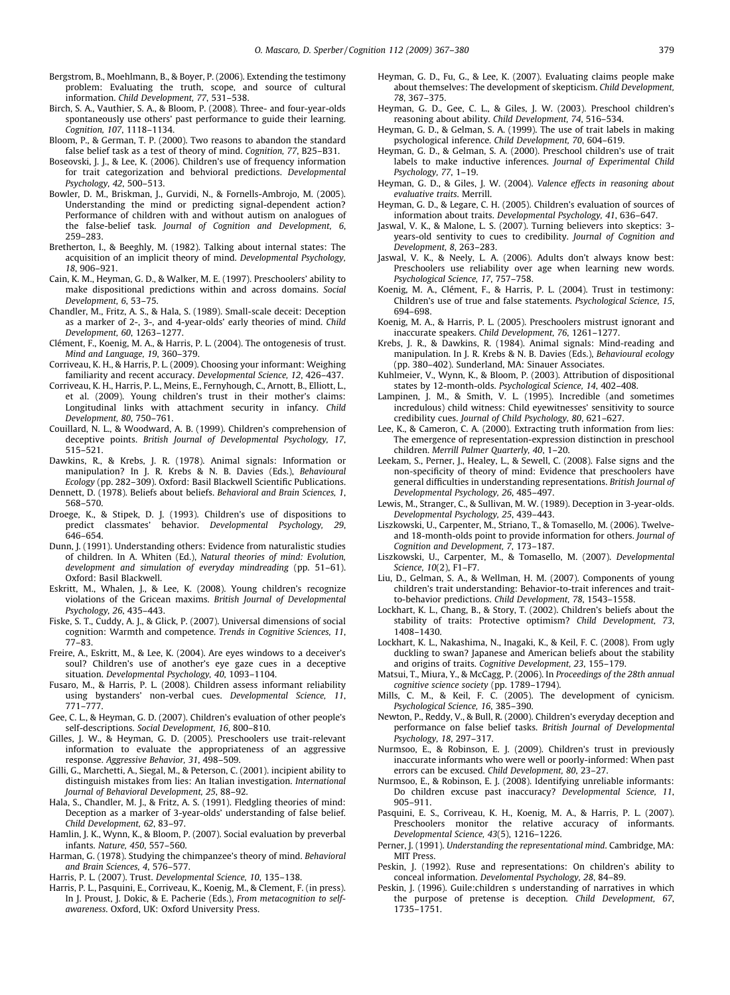- <span id="page-12-0"></span>Bergstrom, B., Moehlmann, B., & Boyer, P. (2006). Extending the testimony problem: Evaluating the truth, scope, and source of cultural information. Child Development, 77, 531–538.
- Birch, S. A., Vauthier, S. A., & Bloom, P. (2008). Three- and four-year-olds spontaneously use others' past performance to guide their learning. Cognition, 107, 1118–1134.
- Bloom, P., & German, T. P. (2000). Two reasons to abandon the standard false belief task as a test of theory of mind. Cognition, 77, B25–B31.
- Boseovski, J. J., & Lee, K. (2006). Children's use of frequency information for trait categorization and behvioral predictions. Developmental Psychology, 42, 500–513.
- Bowler, D. M., Briskman, J., Gurvidi, N., & Fornells-Ambrojo, M. (2005). Understanding the mind or predicting signal-dependent action? Performance of children with and without autism on analogues of the false-belief task. Journal of Cognition and Development, 6, 259–283.
- Bretherton, I., & Beeghly, M. (1982). Talking about internal states: The acquisition of an implicit theory of mind. Developmental Psychology, 18, 906–921.
- Cain, K. M., Heyman, G. D., & Walker, M. E. (1997). Preschoolers' ability to make dispositional predictions within and across domains. Social Development, 6, 53–75.
- Chandler, M., Fritz, A. S., & Hala, S. (1989). Small-scale deceit: Deception as a marker of 2-, 3-, and 4-year-olds' early theories of mind. Child Development, 60, 1263–1277.
- Clément, F., Koenig, M. A., & Harris, P. L. (2004). The ontogenesis of trust. Mind and Language, 19, 360–379.
- Corriveau, K. H., & Harris, P. L. (2009). Choosing your informant: Weighing familiarity and recent accuracy. Developmental Science, 12, 426–437.
- Corriveau, K. H., Harris, P. L., Meins, E., Fernyhough, C., Arnott, B., Elliott, L., et al. (2009). Young children's trust in their mother's claims: Longitudinal links with attachment security in infancy. Child Development, 80, 750–761.
- Couillard, N. L., & Woodward, A. B. (1999). Children's comprehension of deceptive points. British Journal of Developmental Psychology, 17, 515–521.
- Dawkins, R., & Krebs, J. R. (1978). Animal signals: Information or manipulation? In J. R. Krebs & N. B. Davies (Eds.), Behavioural Ecology (pp. 282–309). Oxford: Basil Blackwell Scientific Publications.
- Dennett, D. (1978). Beliefs about beliefs. Behavioral and Brain Sciences, 1, 568–570.
- Droege, K., & Stipek, D. J. (1993). Children's use of dispositions to predict classmates' behavior. Developmental Psychology, 29, 646–654.
- Dunn, J. (1991). Understanding others: Evidence from naturalistic studies of children. In A. Whiten (Ed.), Natural theories of mind: Evolution, development and simulation of everyday mindreading (pp. 51–61). Oxford: Basil Blackwell.
- Eskritt, M., Whalen, J., & Lee, K. (2008). Young children's recognize violations of the Gricean maxims. British Journal of Developmental Psychology, 26, 435–443.
- Fiske, S. T., Cuddy, A. J., & Glick, P. (2007). Universal dimensions of social cognition: Warmth and competence. Trends in Cognitive Sciences, 11, 77–83.
- Freire, A., Eskritt, M., & Lee, K. (2004). Are eyes windows to a deceiver's soul? Children's use of another's eye gaze cues in a deceptive situation. Developmental Psychology, 40, 1093–1104.
- Fusaro, M., & Harris, P. L. (2008). Children assess informant reliability using bystanders' non-verbal cues. Developmental Science, 11, 771–777.
- Gee, C. L., & Heyman, G. D. (2007). Children's evaluation of other people's self-descriptions. Social Development, 16, 800–810.
- Gilles, J. W., & Heyman, G. D. (2005). Preschoolers use trait-relevant information to evaluate the appropriateness of an aggressive response. Aggressive Behavior, 31, 498–509.
- Gilli, G., Marchetti, A., Siegal, M., & Peterson, C. (2001). incipient ability to distinguish mistakes from lies: An Italian investigation. International Journal of Behavioral Development, 25, 88–92.
- Hala, S., Chandler, M. J., & Fritz, A. S. (1991). Fledgling theories of mind: Deception as a marker of 3-year-olds' understanding of false belief. Child Development, 62, 83–97.
- Hamlin, J. K., Wynn, K., & Bloom, P. (2007). Social evaluation by preverbal infants. Nature, 450, 557–560.
- Harman, G. (1978). Studying the chimpanzee's theory of mind. Behavioral and Brain Sciences, 4, 576–577.
- Harris, P. L. (2007). Trust. Developmental Science, 10, 135–138.
- Harris, P. L., Pasquini, E., Corriveau, K., Koenig, M., & Clement, F. (in press). In J. Proust, J. Dokic, & E. Pacherie (Eds.), From metacognition to selfawareness. Oxford, UK: Oxford University Press.
- Heyman, G. D., Fu, G., & Lee, K. (2007). Evaluating claims people make about themselves: The development of skepticism. Child Development, 78, 367–375.
- Heyman, G. D., Gee, C. L., & Giles, J. W. (2003). Preschool children's reasoning about ability. Child Development, 74, 516–534.
- Heyman, G. D., & Gelman, S. A. (1999). The use of trait labels in making psychological inference. Child Development, 70, 604–619.
- Heyman, G. D., & Gelman, S. A. (2000). Preschool children's use of trait labels to make inductive inferences. Journal of Experimental Child Psychology, 77, 1–19.
- Heyman, G. D., & Giles, J. W. (2004). Valence effects in reasoning about evaluative traits. Merrill.
- Heyman, G. D., & Legare, C. H. (2005). Children's evaluation of sources of information about traits. Developmental Psychology, 41, 636–647.
- Jaswal, V. K., & Malone, L. S. (2007). Turning believers into skeptics: 3 years-old sentivity to cues to credibility. Journal of Cognition and Development, 8, 263–283.
- Jaswal, V. K., & Neely, L. A. (2006). Adults don't always know best: Preschoolers use reliability over age when learning new words. Psychological Science, 17, 757–758.
- Koenig, M. A., Clément, F., & Harris, P. L. (2004). Trust in testimony: Children's use of true and false statements. Psychological Science, 15, 694–698.
- Koenig, M. A., & Harris, P. L. (2005). Preschoolers mistrust ignorant and inaccurate speakers. Child Development, 76, 1261–1277.
- Krebs, J. R., & Dawkins, R. (1984). Animal signals: Mind-reading and manipulation. In J. R. Krebs & N. B. Davies (Eds.), Behavioural ecology (pp. 380–402). Sunderland, MA: Sinauer Associates.
- Kuhlmeier, V., Wynn, K., & Bloom, P. (2003). Attribution of dispositional states by 12-month-olds. Psychological Science, 14, 402–408.
- Lampinen, J. M., & Smith, V. L. (1995). Incredible (and sometimes incredulous) child witness: Child eyewitnesses' sensitivity to source credibility cues. Journal of Child Psychology, 80, 621–627.
- Lee, K., & Cameron, C. A. (2000). Extracting truth information from lies: The emergence of representation-expression distinction in preschool children. Merrill Palmer Quarterly, 40, 1–20.
- Leekam, S., Perner, J., Healey, L., & Sewell, C. (2008). False signs and the non-specificity of theory of mind: Evidence that preschoolers have general difficulties in understanding representations. British Journal of Developmental Psychology, 26, 485–497.
- Lewis, M., Stranger, C., & Sullivan, M. W. (1989). Deception in 3-year-olds. Developmental Psychology, 25, 439–443.
- Liszkowski, U., Carpenter, M., Striano, T., & Tomasello, M. (2006). Twelveand 18-month-olds point to provide information for others. Journal of Cognition and Development, 7, 173–187.
- Liszkowski, U., Carpenter, M., & Tomasello, M. (2007). Developmental Science, 10(2), F1–F7.
- Liu, D., Gelman, S. A., & Wellman, H. M. (2007). Components of young children's trait understanding: Behavior-to-trait inferences and traitto-behavior predictions. Child Development, 78, 1543–1558.
- Lockhart, K. L., Chang, B., & Story, T. (2002). Children's beliefs about the stability of traits: Protective optimism? Child Development, 73, 1408–1430.
- Lockhart, K. L., Nakashima, N., Inagaki, K., & Keil, F. C. (2008). From ugly duckling to swan? Japanese and American beliefs about the stability and origins of traits. Cognitive Development, 23, 155–179.
- Matsui, T., Miura, Y., & McCagg, P. (2006). In Proceedings of the 28th annual cognitive science society (pp. 1789–1794).
- Mills, C. M., & Keil, F. C. (2005). The development of cynicism. Psychological Science, 16, 385–390.
- Newton, P., Reddy, V., & Bull, R. (2000). Children's everyday deception and performance on false belief tasks. British Journal of Developmental Psychology, 18, 297–317.
- Nurmsoo, E., & Robinson, E. J. (2009). Children's trust in previously inaccurate informants who were well or poorly-informed: When past errors can be excused. Child Development, 80, 23–27.
- Nurmsoo, E., & Robinson, E. J. (2008). Identifying unreliable informants: Do children excuse past inaccuracy? Developmental Science, 11, 905–911.
- Pasquini, E. S., Corriveau, K. H., Koenig, M. A., & Harris, P. L. (2007). Preschoolers monitor the relative accuracy of informants. Developmental Science, 43(5), 1216–1226.
- Perner, J. (1991). Understanding the representational mind. Cambridge, MA: MIT Press.
- Peskin, J. (1992). Ruse and representations: On children's ability to conceal information. Develomental Psychology, 28, 84–89.
- Peskin, J. (1996). Guile:children s understanding of narratives in which the purpose of pretense is deception. Child Development, 67, 1735–1751.